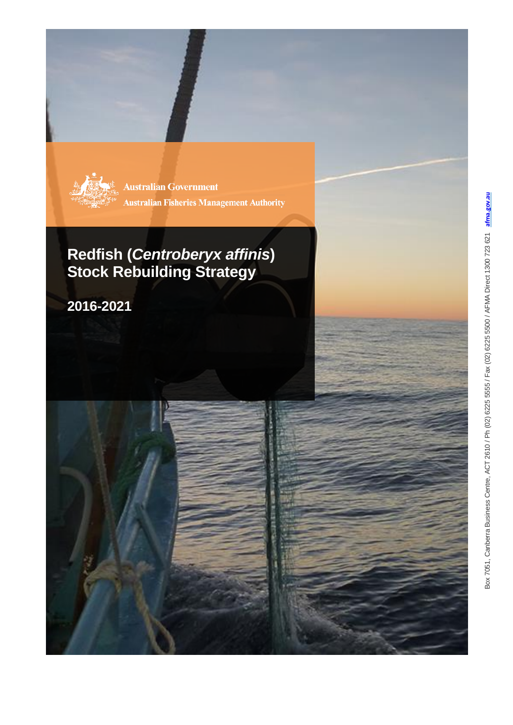

**Australian Government Australian Fisheries Management Authority** 

## **Redfish (***Centroberyx affinis***) Stock Rebuilding Strategy**

**2016 -2021**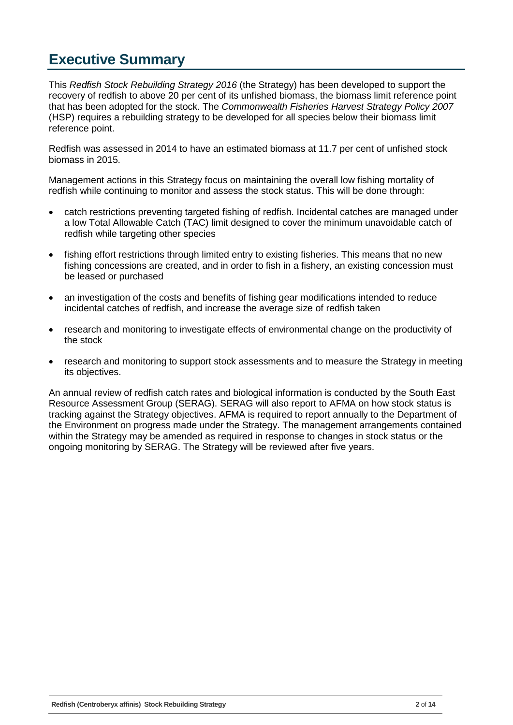### <span id="page-1-0"></span>**Executive Summary**

This *Redfish Stock Rebuilding Strategy 2016* (the Strategy) has been developed to support the recovery of redfish to above 20 per cent of its unfished biomass, the biomass limit reference point that has been adopted for the stock. The *Commonwealth Fisheries Harvest Strategy Policy 2007* (HSP) requires a rebuilding strategy to be developed for all species below their biomass limit reference point.

Redfish was assessed in 2014 to have an estimated biomass at 11.7 per cent of unfished stock biomass in 2015.

Management actions in this Strategy focus on maintaining the overall low fishing mortality of redfish while continuing to monitor and assess the stock status. This will be done through:

- catch restrictions preventing targeted fishing of redfish. Incidental catches are managed under a low Total Allowable Catch (TAC) limit designed to cover the minimum unavoidable catch of redfish while targeting other species
- fishing effort restrictions through limited entry to existing fisheries. This means that no new fishing concessions are created, and in order to fish in a fishery, an existing concession must be leased or purchased
- an investigation of the costs and benefits of fishing gear modifications intended to reduce incidental catches of redfish, and increase the average size of redfish taken
- research and monitoring to investigate effects of environmental change on the productivity of the stock
- research and monitoring to support stock assessments and to measure the Strategy in meeting its objectives.

An annual review of redfish catch rates and biological information is conducted by the South East Resource Assessment Group (SERAG). SERAG will also report to AFMA on how stock status is tracking against the Strategy objectives. AFMA is required to report annually to the Department of the Environment on progress made under the Strategy. The management arrangements contained within the Strategy may be amended as required in response to changes in stock status or the ongoing monitoring by SERAG. The Strategy will be reviewed after five years.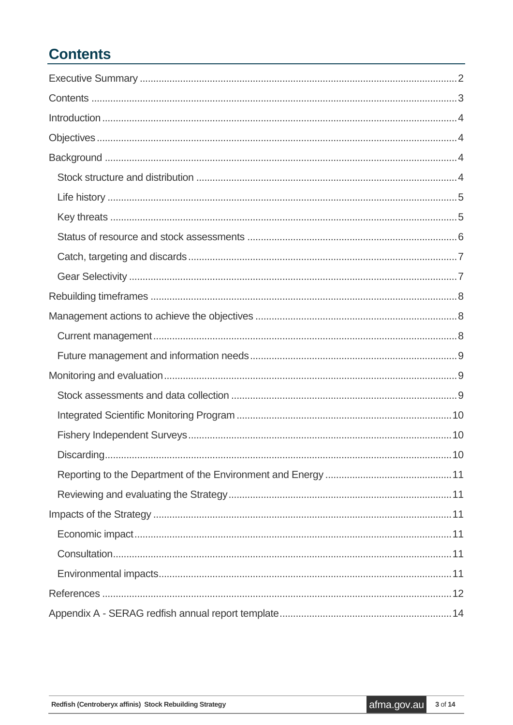## <span id="page-2-0"></span>**Contents**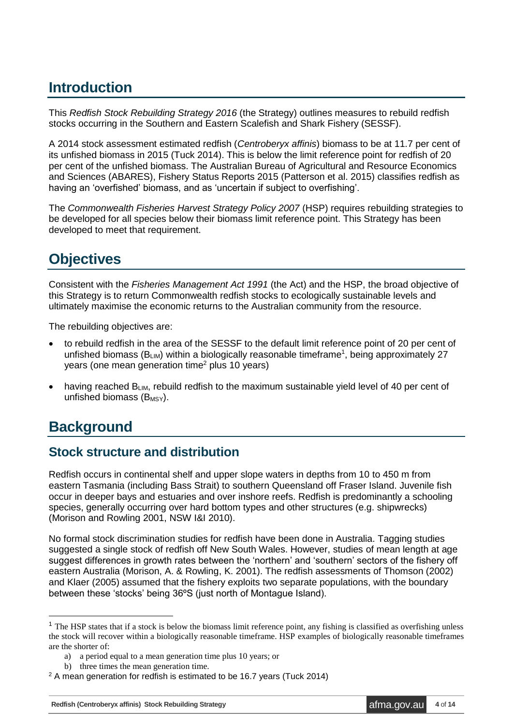## <span id="page-3-0"></span>**Introduction**

This *Redfish Stock Rebuilding Strategy 2016* (the Strategy) outlines measures to rebuild redfish stocks occurring in the Southern and Eastern Scalefish and Shark Fishery (SESSF).

A 2014 stock assessment estimated redfish (*Centroberyx affinis*) biomass to be at 11.7 per cent of its unfished biomass in 2015 (Tuck 2014). This is below the limit reference point for redfish of 20 per cent of the unfished biomass. The Australian Bureau of Agricultural and Resource Economics and Sciences (ABARES), Fishery Status Reports 2015 (Patterson et al. 2015) classifies redfish as having an 'overfished' biomass, and as 'uncertain if subject to overfishing'.

The *Commonwealth Fisheries Harvest Strategy Policy 2007* (HSP) requires rebuilding strategies to be developed for all species below their biomass limit reference point. This Strategy has been developed to meet that requirement.

## <span id="page-3-1"></span>**Objectives**

Consistent with the *Fisheries Management Act 1991* (the Act) and the HSP, the broad objective of this Strategy is to return Commonwealth redfish stocks to ecologically sustainable levels and ultimately maximise the economic returns to the Australian community from the resource.

The rebuilding objectives are:

- to rebuild redfish in the area of the SESSF to the default limit reference point of 20 per cent of unfished biomass ( $B_{LIM}$ ) within a biologically reasonable timeframe<sup>1</sup>, being approximately 27 years (one mean generation time<sup>2</sup> plus 10 years)
- having reached  $B_{LIM}$ , rebuild redfish to the maximum sustainable yield level of 40 per cent of unfished biomass  $(B_{MSY})$ .

### <span id="page-3-2"></span>**Background**

1

#### <span id="page-3-3"></span>**Stock structure and distribution**

Redfish occurs in continental shelf and upper slope waters in depths from 10 to 450 m from eastern Tasmania (including Bass Strait) to southern Queensland off Fraser Island. Juvenile fish occur in deeper bays and estuaries and over inshore reefs. Redfish is predominantly a schooling species, generally occurring over hard bottom types and other structures (e.g. shipwrecks) (Morison and Rowling 2001, NSW I&I 2010).

No formal stock discrimination studies for redfish have been done in Australia. Tagging studies suggested a single stock of redfish off New South Wales. However, studies of mean length at age suggest differences in growth rates between the 'northern' and 'southern' sectors of the fishery off eastern Australia (Morison, A. & Rowling, K. 2001). The redfish assessments of Thomson (2002) and Klaer (2005) assumed that the fishery exploits two separate populations, with the boundary between these 'stocks' being 36ºS (just north of Montague Island).

<sup>&</sup>lt;sup>1</sup> The HSP states that if a stock is below the biomass limit reference point, any fishing is classified as overfishing unless the stock will recover within a biologically reasonable timeframe. HSP examples of biologically reasonable timeframes are the shorter of:

a) a period equal to a mean generation time plus 10 years; or

b) three times the mean generation time.

<sup>&</sup>lt;sup>2</sup> A mean generation for redfish is estimated to be 16.7 years (Tuck 2014)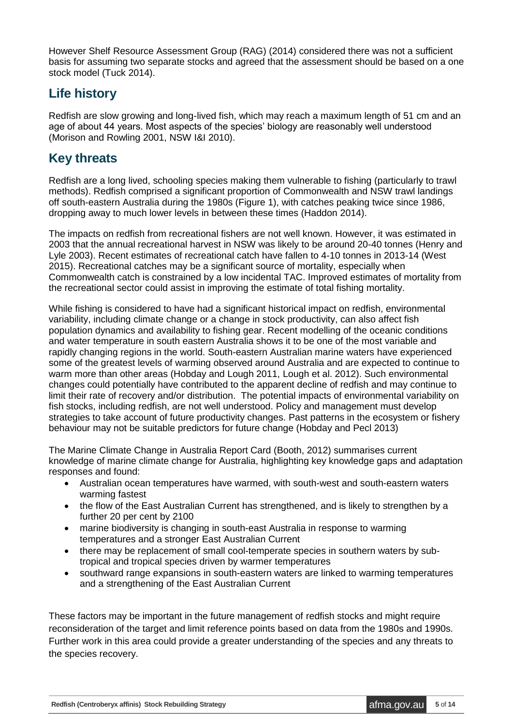However Shelf Resource Assessment Group (RAG) (2014) considered there was not a sufficient basis for assuming two separate stocks and agreed that the assessment should be based on a one stock model (Tuck 2014).

#### <span id="page-4-0"></span>**Life history**

Redfish are slow growing and long-lived fish, which may reach a maximum length of 51 cm and an age of about 44 years. Most aspects of the species' biology are reasonably well understood (Morison and Rowling 2001, NSW I&I 2010).

#### <span id="page-4-1"></span>**Key threats**

Redfish are a long lived, schooling species making them vulnerable to fishing (particularly to trawl methods). Redfish comprised a significant proportion of Commonwealth and NSW trawl landings off south-eastern Australia during the 1980s (Figure 1), with catches peaking twice since 1986, dropping away to much lower levels in between these times (Haddon 2014).

The impacts on redfish from recreational fishers are not well known. However, it was estimated in 2003 that the annual recreational harvest in NSW was likely to be around 20-40 tonnes (Henry and Lyle 2003). Recent estimates of recreational catch have fallen to 4-10 tonnes in 2013-14 (West 2015). Recreational catches may be a significant source of mortality, especially when Commonwealth catch is constrained by a low incidental TAC. Improved estimates of mortality from the recreational sector could assist in improving the estimate of total fishing mortality.

While fishing is considered to have had a significant historical impact on redfish, environmental variability, including climate change or a change in stock productivity, can also affect fish population dynamics and availability to fishing gear. Recent modelling of the oceanic conditions and water temperature in south eastern Australia shows it to be one of the most variable and rapidly changing regions in the world. South-eastern Australian marine waters have experienced some of the greatest levels of warming observed around Australia and are expected to continue to warm more than other areas (Hobday and Lough 2011, Lough et al. 2012). Such environmental changes could potentially have contributed to the apparent decline of redfish and may continue to limit their rate of recovery and/or distribution. The potential impacts of environmental variability on fish stocks, including redfish, are not well understood. Policy and management must develop strategies to take account of future productivity changes. Past patterns in the ecosystem or fishery behaviour may not be suitable predictors for future change (Hobday and Pecl 2013)

The Marine Climate Change in Australia Report Card (Booth, 2012) summarises current knowledge of marine climate change for Australia, highlighting key knowledge gaps and adaptation responses and found:

- Australian ocean temperatures have warmed, with south-west and south-eastern waters warming fastest
- the flow of the East Australian Current has strengthened, and is likely to strengthen by a further 20 per cent by 2100
- marine biodiversity is changing in south-east Australia in response to warming temperatures and a stronger East Australian Current
- there may be replacement of small cool-temperate species in southern waters by subtropical and tropical species driven by warmer temperatures
- southward range expansions in south-eastern waters are linked to warming temperatures and a strengthening of the East Australian Current

These factors may be important in the future management of redfish stocks and might require reconsideration of the target and limit reference points based on data from the 1980s and 1990s. Further work in this area could provide a greater understanding of the species and any threats to the species recovery.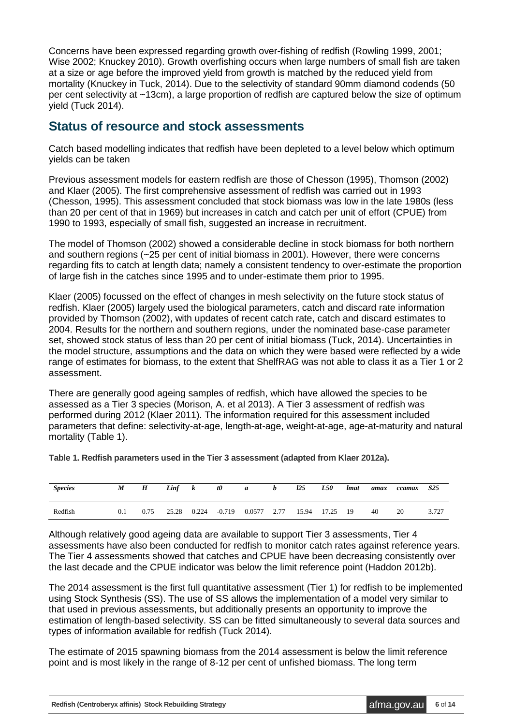Concerns have been expressed regarding growth over-fishing of redfish (Rowling 1999, 2001; Wise 2002; Knuckey 2010). Growth overfishing occurs when large numbers of small fish are taken at a size or age before the improved yield from growth is matched by the reduced yield from mortality (Knuckey in Tuck, 2014). Due to the selectivity of standard 90mm diamond codends (50 per cent selectivity at ~13cm), a large proportion of redfish are captured below the size of optimum yield (Tuck 2014).

#### <span id="page-5-0"></span>**Status of resource and stock assessments**

Catch based modelling indicates that redfish have been depleted to a level below which optimum yields can be taken

Previous assessment models for eastern redfish are those of Chesson (1995), Thomson (2002) and Klaer (2005). The first comprehensive assessment of redfish was carried out in 1993 (Chesson, 1995). This assessment concluded that stock biomass was low in the late 1980s (less than 20 per cent of that in 1969) but increases in catch and catch per unit of effort (CPUE) from 1990 to 1993, especially of small fish, suggested an increase in recruitment.

The model of Thomson (2002) showed a considerable decline in stock biomass for both northern and southern regions (~25 per cent of initial biomass in 2001). However, there were concerns regarding fits to catch at length data; namely a consistent tendency to over-estimate the proportion of large fish in the catches since 1995 and to under-estimate them prior to 1995.

Klaer (2005) focussed on the effect of changes in mesh selectivity on the future stock status of redfish. Klaer (2005) largely used the biological parameters, catch and discard rate information provided by Thomson (2002), with updates of recent catch rate, catch and discard estimates to 2004. Results for the northern and southern regions, under the nominated base-case parameter set, showed stock status of less than 20 per cent of initial biomass (Tuck, 2014). Uncertainties in the model structure, assumptions and the data on which they were based were reflected by a wide range of estimates for biomass, to the extent that ShelfRAG was not able to class it as a Tier 1 or 2 assessment.

There are generally good ageing samples of redfish, which have allowed the species to be assessed as a Tier 3 species (Morison, A. et al 2013). A Tier 3 assessment of redfish was performed during 2012 (Klaer 2011). The information required for this assessment included parameters that define: selectivity-at-age, length-at-age, weight-at-age, age-at-maturity and natural mortality (Table 1).

**Table 1. Redfish parameters used in the Tier 3 assessment (adapted from Klaer 2012a).** 

| <b>Species</b> | M   | $\boldsymbol{H}$ | Linf  | ĸ     | $t\theta$ | a      | b    | 125   | L50   | <i>Imat</i> | amax | ccamax | S <sub>25</sub> |
|----------------|-----|------------------|-------|-------|-----------|--------|------|-------|-------|-------------|------|--------|-----------------|
| Redfish        | 0.1 | 0.75             | 25.28 | 0.224 | $-0.719$  | 0.0577 | 2.77 | 15.94 | 17.25 | 19          | 40   | 20     | 3.727           |

Although relatively good ageing data are available to support Tier 3 assessments, Tier 4 assessments have also been conducted for redfish to monitor catch rates against reference years. The Tier 4 assessments showed that catches and CPUE have been decreasing consistently over the last decade and the CPUE indicator was below the limit reference point (Haddon 2012b).

The 2014 assessment is the first full quantitative assessment (Tier 1) for redfish to be implemented using Stock Synthesis (SS). The use of SS allows the implementation of a model very similar to that used in previous assessments, but additionally presents an opportunity to improve the estimation of length-based selectivity. SS can be fitted simultaneously to several data sources and types of information available for redfish (Tuck 2014).

The estimate of 2015 spawning biomass from the 2014 assessment is below the limit reference point and is most likely in the range of 8-12 per cent of unfished biomass. The long term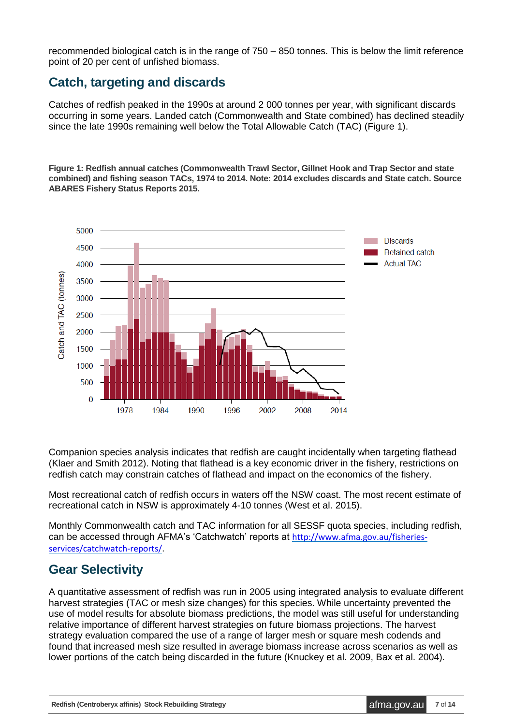recommended biological catch is in the range of 750 – 850 tonnes. This is below the limit reference point of 20 per cent of unfished biomass.

#### <span id="page-6-0"></span>**Catch, targeting and discards**

Catches of redfish peaked in the 1990s at around 2 000 tonnes per year, with significant discards occurring in some years. Landed catch (Commonwealth and State combined) has declined steadily since the late 1990s remaining well below the Total Allowable Catch (TAC) (Figure 1).

**Figure 1: Redfish annual catches (Commonwealth Trawl Sector, Gillnet Hook and Trap Sector and state combined) and fishing season TACs, 1974 to 2014. Note: 2014 excludes discards and State catch. Source ABARES Fishery Status Reports 2015.**



Companion species analysis indicates that redfish are caught incidentally when targeting flathead (Klaer and Smith 2012). Noting that flathead is a key economic driver in the fishery, restrictions on redfish catch may constrain catches of flathead and impact on the economics of the fishery.

Most recreational catch of redfish occurs in waters off the NSW coast. The most recent estimate of recreational catch in NSW is approximately 4-10 tonnes (West et al. 2015).

Monthly Commonwealth catch and TAC information for all SESSF quota species, including redfish, can be accessed through AFMA's 'Catchwatch' reports at [http://www.afma.gov.au/fisheries](http://www.afma.gov.au/fisheries-services/catchwatch-reports/)[services/catchwatch-reports/](http://www.afma.gov.au/fisheries-services/catchwatch-reports/).

#### <span id="page-6-1"></span>**Gear Selectivity**

A quantitative assessment of redfish was run in 2005 using integrated analysis to evaluate different harvest strategies (TAC or mesh size changes) for this species. While uncertainty prevented the use of model results for absolute biomass predictions, the model was still useful for understanding relative importance of different harvest strategies on future biomass projections. The harvest strategy evaluation compared the use of a range of larger mesh or square mesh codends and found that increased mesh size resulted in average biomass increase across scenarios as well as lower portions of the catch being discarded in the future (Knuckey et al. 2009, Bax et al. 2004).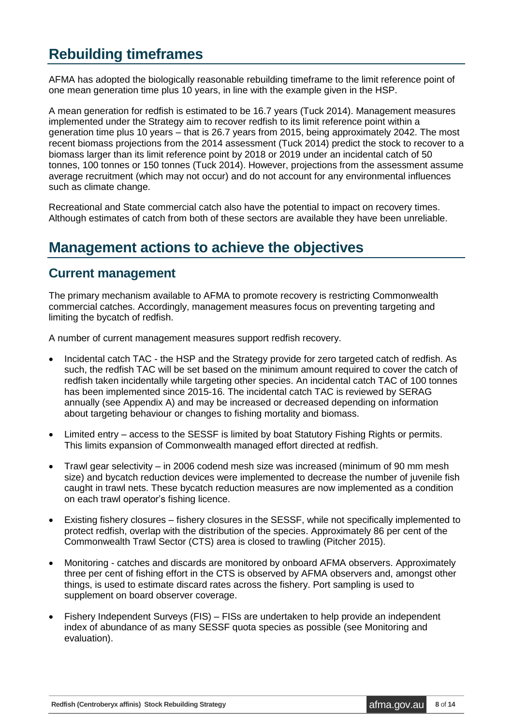### <span id="page-7-0"></span>**Rebuilding timeframes**

AFMA has adopted the biologically reasonable rebuilding timeframe to the limit reference point of one mean generation time plus 10 years, in line with the example given in the HSP.

A mean generation for redfish is estimated to be 16.7 years (Tuck 2014). Management measures implemented under the Strategy aim to recover redfish to its limit reference point within a generation time plus 10 years – that is 26.7 years from 2015, being approximately 2042. The most recent biomass projections from the 2014 assessment (Tuck 2014) predict the stock to recover to a biomass larger than its limit reference point by 2018 or 2019 under an incidental catch of 50 tonnes, 100 tonnes or 150 tonnes (Tuck 2014). However, projections from the assessment assume average recruitment (which may not occur) and do not account for any environmental influences such as climate change.

Recreational and State commercial catch also have the potential to impact on recovery times. Although estimates of catch from both of these sectors are available they have been unreliable.

### <span id="page-7-1"></span>**Management actions to achieve the objectives**

#### <span id="page-7-2"></span>**Current management**

The primary mechanism available to AFMA to promote recovery is restricting Commonwealth commercial catches. Accordingly, management measures focus on preventing targeting and limiting the bycatch of redfish.

A number of current management measures support redfish recovery.

- Incidental catch TAC the HSP and the Strategy provide for zero targeted catch of redfish. As such, the redfish TAC will be set based on the minimum amount required to cover the catch of redfish taken incidentally while targeting other species. An incidental catch TAC of 100 tonnes has been implemented since 2015-16. The incidental catch TAC is reviewed by SERAG annually (see Appendix A) and may be increased or decreased depending on information about targeting behaviour or changes to fishing mortality and biomass.
- Limited entry access to the SESSF is limited by boat Statutory Fishing Rights or permits. This limits expansion of Commonwealth managed effort directed at redfish.
- Trawl gear selectivity in 2006 codend mesh size was increased (minimum of 90 mm mesh size) and bycatch reduction devices were implemented to decrease the number of juvenile fish caught in trawl nets. These bycatch reduction measures are now implemented as a condition on each trawl operator's fishing licence.
- Existing fishery closures fishery closures in the SESSF, while not specifically implemented to protect redfish, overlap with the distribution of the species. Approximately 86 per cent of the Commonwealth Trawl Sector (CTS) area is closed to trawling (Pitcher 2015).
- Monitoring catches and discards are monitored by onboard AFMA observers. Approximately three per cent of fishing effort in the CTS is observed by AFMA observers and, amongst other things, is used to estimate discard rates across the fishery. Port sampling is used to supplement on board observer coverage.
- Fishery Independent Surveys (FIS) FISs are undertaken to help provide an independent index of abundance of as many SESSF quota species as possible (see Monitoring and evaluation).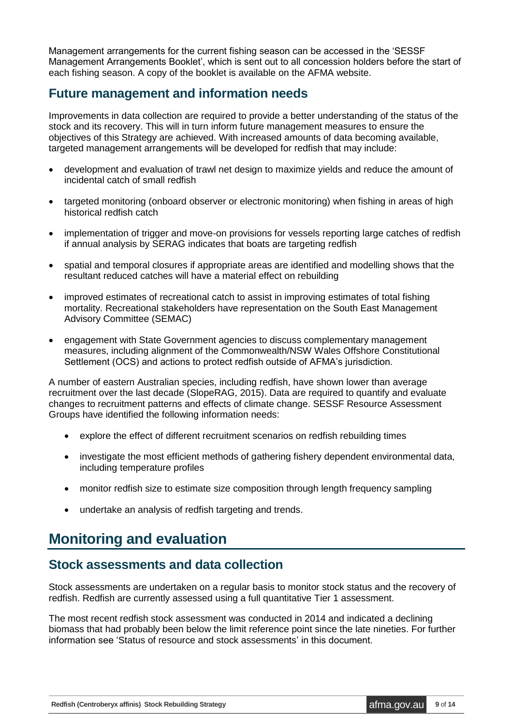Management arrangements for the current fishing season can be accessed in the 'SESSF Management Arrangements Booklet', which is sent out to all concession holders before the start of each fishing season. A copy of the booklet is available on the AFMA website.

#### <span id="page-8-0"></span>**Future management and information needs**

Improvements in data collection are required to provide a better understanding of the status of the stock and its recovery. This will in turn inform future management measures to ensure the objectives of this Strategy are achieved. With increased amounts of data becoming available, targeted management arrangements will be developed for redfish that may include:

- development and evaluation of trawl net design to maximize yields and reduce the amount of incidental catch of small redfish
- targeted monitoring (onboard observer or electronic monitoring) when fishing in areas of high historical redfish catch
- implementation of trigger and move-on provisions for vessels reporting large catches of redfish if annual analysis by SERAG indicates that boats are targeting redfish
- spatial and temporal closures if appropriate areas are identified and modelling shows that the resultant reduced catches will have a material effect on rebuilding
- improved estimates of recreational catch to assist in improving estimates of total fishing mortality. Recreational stakeholders have representation on the South East Management Advisory Committee (SEMAC)
- engagement with State Government agencies to discuss complementary management measures, including alignment of the Commonwealth/NSW Wales Offshore Constitutional Settlement (OCS) and actions to protect redfish outside of AFMA's jurisdiction.

A number of eastern Australian species, including redfish, have shown lower than average recruitment over the last decade (SlopeRAG, 2015). Data are required to quantify and evaluate changes to recruitment patterns and effects of climate change. SESSF Resource Assessment Groups have identified the following information needs:

- explore the effect of different recruitment scenarios on redfish rebuilding times
- investigate the most efficient methods of gathering fishery dependent environmental data, including temperature profiles
- monitor redfish size to estimate size composition through length frequency sampling
- undertake an analysis of redfish targeting and trends.

### <span id="page-8-1"></span>**Monitoring and evaluation**

#### <span id="page-8-2"></span>**Stock assessments and data collection**

Stock assessments are undertaken on a regular basis to monitor stock status and the recovery of redfish. Redfish are currently assessed using a full quantitative Tier 1 assessment.

The most recent redfish stock assessment was conducted in 2014 and indicated a declining biomass that had probably been below the limit reference point since the late nineties. For further information see 'Status of resource and stock assessments' in this document.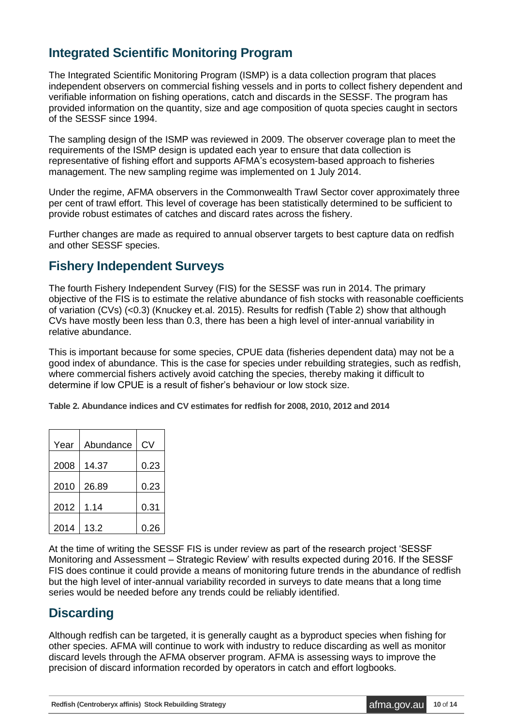#### <span id="page-9-0"></span>**Integrated Scientific Monitoring Program**

The Integrated Scientific Monitoring Program (ISMP) is a data collection program that places independent observers on commercial fishing vessels and in ports to collect fishery dependent and verifiable information on fishing operations, catch and discards in the SESSF. The program has provided information on the quantity, size and age composition of quota species caught in sectors of the SESSF since 1994.

The sampling design of the ISMP was reviewed in 2009. The observer coverage plan to meet the requirements of the ISMP design is updated each year to ensure that data collection is representative of fishing effort and supports AFMA's ecosystem-based approach to fisheries management. The new sampling regime was implemented on 1 July 2014.

Under the regime, AFMA observers in the Commonwealth Trawl Sector cover approximately three per cent of trawl effort. This level of coverage has been statistically determined to be sufficient to provide robust estimates of catches and discard rates across the fishery.

Further changes are made as required to annual observer targets to best capture data on redfish and other SESSF species.

#### <span id="page-9-1"></span>**Fishery Independent Surveys**

The fourth Fishery Independent Survey (FIS) for the SESSF was run in 2014. The primary objective of the FIS is to estimate the relative abundance of fish stocks with reasonable coefficients of variation (CVs) (<0.3) (Knuckey et.al. 2015). Results for redfish (Table 2) show that although CVs have mostly been less than 0.3, there has been a high level of inter-annual variability in relative abundance.

This is important because for some species, CPUE data (fisheries dependent data) may not be a good index of abundance. This is the case for species under rebuilding strategies, such as redfish, where commercial fishers actively avoid catching the species, thereby making it difficult to determine if low CPUE is a result of fisher's behaviour or low stock size.

**Table 2. Abundance indices and CV estimates for redfish for 2008, 2010, 2012 and 2014**

| Year | Abundance | <b>CV</b> |
|------|-----------|-----------|
| 2008 | 14.37     | 0.23      |
| 2010 | 26.89     | 0.23      |
| 2012 | 1.14      | 0.31      |
| 2014 | 13.2      | 0.26      |

At the time of writing the SESSF FIS is under review as part of the research project 'SESSF Monitoring and Assessment – Strategic Review' with results expected during 2016. If the SESSF FIS does continue it could provide a means of monitoring future trends in the abundance of redfish but the high level of inter-annual variability recorded in surveys to date means that a long time series would be needed before any trends could be reliably identified.

#### <span id="page-9-2"></span>**Discarding**

Although redfish can be targeted, it is generally caught as a byproduct species when fishing for other species. AFMA will continue to work with industry to reduce discarding as well as monitor discard levels through the AFMA observer program. AFMA is assessing ways to improve the precision of discard information recorded by operators in catch and effort logbooks.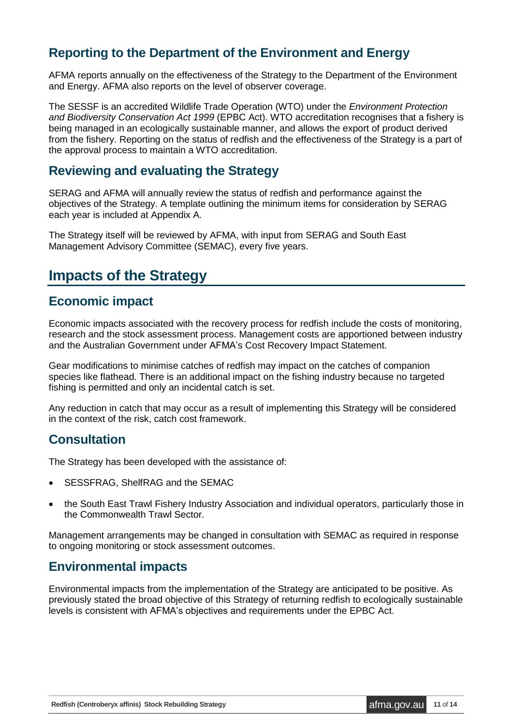#### <span id="page-10-0"></span>**Reporting to the Department of the Environment and Energy**

AFMA reports annually on the effectiveness of the Strategy to the Department of the Environment and Energy. AFMA also reports on the level of observer coverage.

The SESSF is an accredited Wildlife Trade Operation (WTO) under the *Environment Protection and Biodiversity Conservation Act 1999* (EPBC Act). WTO accreditation recognises that a fishery is being managed in an ecologically sustainable manner, and allows the export of product derived from the fishery. Reporting on the status of redfish and the effectiveness of the Strategy is a part of the approval process to maintain a WTO accreditation.

#### <span id="page-10-1"></span>**Reviewing and evaluating the Strategy**

SERAG and AFMA will annually review the status of redfish and performance against the objectives of the Strategy. A template outlining the minimum items for consideration by SERAG each year is included at Appendix A.

The Strategy itself will be reviewed by AFMA, with input from SERAG and South East Management Advisory Committee (SEMAC), every five years.

### <span id="page-10-2"></span>**Impacts of the Strategy**

#### <span id="page-10-3"></span>**Economic impact**

Economic impacts associated with the recovery process for redfish include the costs of monitoring, research and the stock assessment process. Management costs are apportioned between industry and the Australian Government under AFMA's Cost Recovery Impact Statement.

Gear modifications to minimise catches of redfish may impact on the catches of companion species like flathead. There is an additional impact on the fishing industry because no targeted fishing is permitted and only an incidental catch is set.

Any reduction in catch that may occur as a result of implementing this Strategy will be considered in the context of the risk, catch cost framework.

#### <span id="page-10-4"></span>**Consultation**

The Strategy has been developed with the assistance of:

- SESSFRAG, ShelfRAG and the SEMAC
- the South East Trawl Fishery Industry Association and individual operators, particularly those in the Commonwealth Trawl Sector.

Management arrangements may be changed in consultation with SEMAC as required in response to ongoing monitoring or stock assessment outcomes.

#### <span id="page-10-5"></span>**Environmental impacts**

Environmental impacts from the implementation of the Strategy are anticipated to be positive. As previously stated the broad objective of this Strategy of returning redfish to ecologically sustainable levels is consistent with AFMA's objectives and requirements under the EPBC Act.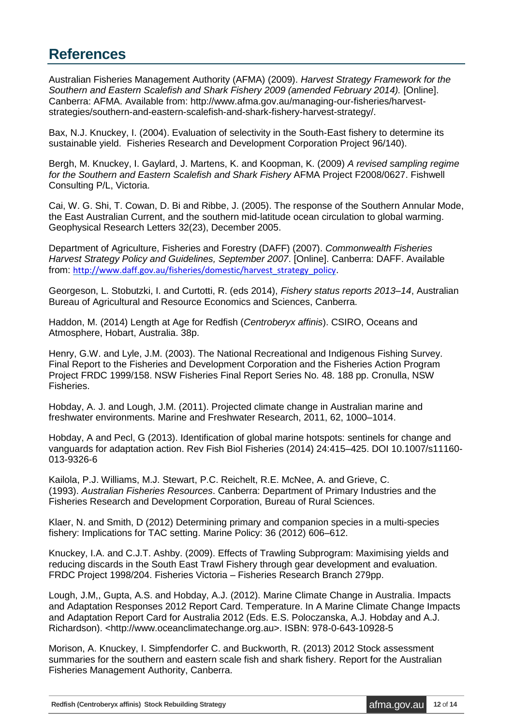### <span id="page-11-0"></span>**References**

Australian Fisheries Management Authority (AFMA) (2009). *Harvest Strategy Framework for the Southern and Eastern Scalefish and Shark Fishery 2009 (amended February 2014).* [Online]. Canberra: AFMA. Available from: http://www.afma.gov.au/managing-our-fisheries/harveststrategies/southern-and-eastern-scalefish-and-shark-fishery-harvest-strategy/.

Bax, N.J. Knuckey, I. (2004). Evaluation of selectivity in the South-East fishery to determine its sustainable yield. Fisheries Research and Development Corporation Project 96/140).

Bergh, M. Knuckey, I. Gaylard, J. Martens, K. and Koopman, K. (2009) *A revised sampling regime for the Southern and Eastern Scalefish and Shark Fishery* AFMA Project F2008/0627. Fishwell Consulting P/L, Victoria.

Cai, W. G. Shi, T. Cowan, D. Bi and Ribbe, J. (2005). The response of the Southern Annular Mode, the East Australian Current, and the southern mid-latitude ocean circulation to global warming. Geophysical Research Letters 32(23), December 2005.

Department of Agriculture, Fisheries and Forestry (DAFF) (2007). *Commonwealth Fisheries Harvest Strategy Policy and Guidelines, September 2007*. [Online]. Canberra: DAFF. Available from: [http://www.daff.gov.au/fisheries/domestic/harvest\\_strategy\\_policy](http://www.daff.gov.au/fisheries/domestic/harvest_strategy_policy).

Georgeson, L. Stobutzki, I. and Curtotti, R. (eds 2014), *Fishery status reports 2013–14*, Australian Bureau of Agricultural and Resource Economics and Sciences, Canberra.

Haddon, M. (2014) Length at Age for Redfish (*Centroberyx affinis*). CSIRO, Oceans and Atmosphere, Hobart, Australia. 38p.

Henry, G.W. and Lyle, J.M. (2003). The National Recreational and Indigenous Fishing Survey. Final Report to the Fisheries and Development Corporation and the Fisheries Action Program Project FRDC 1999/158. NSW Fisheries Final Report Series No. 48. 188 pp. Cronulla, NSW Fisheries.

Hobday, A. J. and Lough, J.M. (2011). Projected climate change in Australian marine and freshwater environments. Marine and Freshwater Research, 2011, 62, 1000–1014.

Hobday, A and Pecl, G (2013). Identification of global marine hotspots: sentinels for change and vanguards for adaptation action. Rev Fish Biol Fisheries (2014) 24:415–425. DOI 10.1007/s11160- 013-9326-6

Kailola, P.J. Williams, M.J. Stewart, P.C. Reichelt, R.E. McNee, A. and Grieve, C. (1993). *Australian Fisheries Resources*. Canberra: Department of Primary Industries and the Fisheries Research and Development Corporation, Bureau of Rural Sciences.

Klaer, N. and Smith, D (2012) Determining primary and companion species in a multi-species fishery: Implications for TAC setting. Marine Policy: 36 (2012) 606–612.

Knuckey, I.A. and C.J.T. Ashby. (2009). Effects of Trawling Subprogram: Maximising yields and reducing discards in the South East Trawl Fishery through gear development and evaluation. FRDC Project 1998/204. Fisheries Victoria – Fisheries Research Branch 279pp.

Lough, J.M,, Gupta, A.S. and Hobday, A.J. (2012). Marine Climate Change in Australia. Impacts and Adaptation Responses 2012 Report Card. Temperature. In A Marine Climate Change Impacts and Adaptation Report Card for Australia 2012 (Eds. E.S. Poloczanska, A.J. Hobday and A.J. Richardson). <http://www.oceanclimatechange.org.au>. ISBN: 978-0-643-10928-5

Morison, A. Knuckey, I. Simpfendorfer C. and Buckworth, R. (2013) 2012 Stock assessment summaries for the southern and eastern scale fish and shark fishery. Report for the Australian Fisheries Management Authority, Canberra.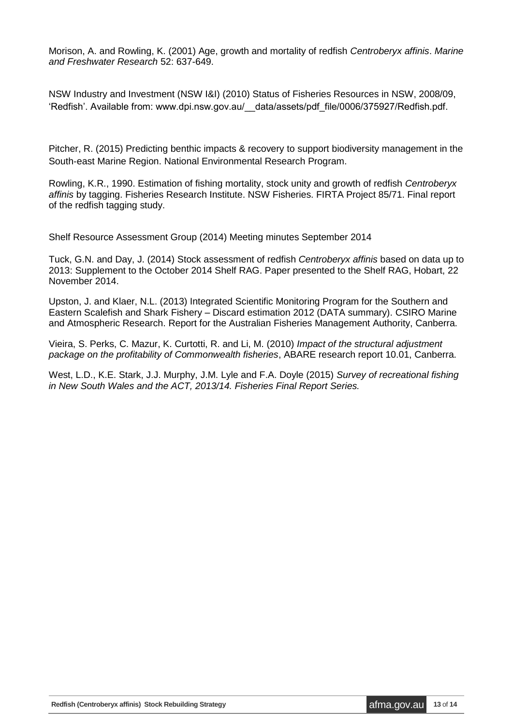Morison, A. and Rowling, K. (2001) Age, growth and mortality of redfish *Centroberyx affinis*. *Marine and Freshwater Research* 52: 637-649.

NSW Industry and Investment (NSW I&I) (2010) Status of Fisheries Resources in NSW, 2008/09, 'Redfish'. Available from: www.dpi.nsw.gov.au/\_\_data/assets/pdf\_file/0006/375927/Redfish.pdf.

Pitcher, R. (2015) Predicting benthic impacts & recovery to support biodiversity management in the South‐east Marine Region. National Environmental Research Program.

Rowling, K.R., 1990. Estimation of fishing mortality, stock unity and growth of redfish *Centroberyx affinis* by tagging. Fisheries Research Institute. NSW Fisheries. FIRTA Project 85/71. Final report of the redfish tagging study.

Shelf Resource Assessment Group (2014) Meeting minutes September 2014

Tuck, G.N. and Day, J. (2014) Stock assessment of redfish *Centroberyx affinis* based on data up to 2013: Supplement to the October 2014 Shelf RAG. Paper presented to the Shelf RAG, Hobart, 22 November 2014.

Upston, J. and Klaer, N.L. (2013) Integrated Scientific Monitoring Program for the Southern and Eastern Scalefish and Shark Fishery – Discard estimation 2012 (DATA summary). CSIRO Marine and Atmospheric Research. Report for the Australian Fisheries Management Authority, Canberra.

Vieira, S. Perks, C. Mazur, K. Curtotti, R. and Li, M. (2010) *Impact of the structural adjustment package on the profitability of Commonwealth fisheries*, ABARE research report 10.01, Canberra.

West, L.D., K.E. Stark, J.J. Murphy, J.M. Lyle and F.A. Doyle (2015) *Survey of recreational fishing in New South Wales and the ACT, 2013/14. Fisheries Final Report Series.*